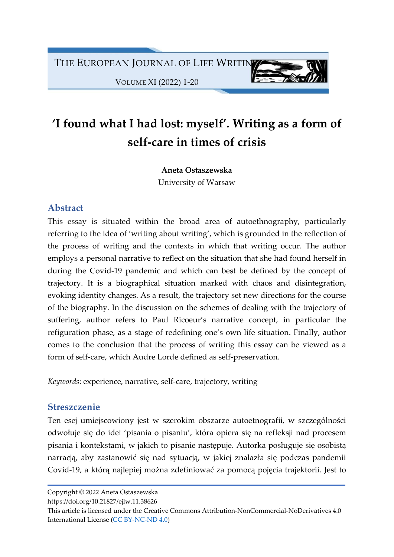# 'I found what I had lost: myself'. Writing as a form of self-care in times of crisis

Aneta Ostaszewska

University of Warsaw

# Abstract

This essay is situated within the broad area of autoethnography, particularly referring to the idea of 'writing about writing', which is grounded in the reflection of the process of writing and the contexts in which that writing occur. The author employs a personal narrative to reflect on the situation that she had found herself in during the Covid-19 pandemic and which can best be defined by the concept of trajectory. It is a biographical situation marked with chaos and disintegration, evoking identity changes. As a result, the trajectory set new directions for the course of the biography. In the discussion on the schemes of dealing with the trajectory of suffering, author refers to Paul Ricoeur's narrative concept, in particular the refiguration phase, as a stage of redefining one's own life situation. Finally, author comes to the conclusion that the process of writing this essay can be viewed as a form of self-care, which Audre Lorde defined as self-preservation.

Keywords: experience, narrative, self-care, trajectory, writing

# **Streszczenie**

Ten esej umiejscowiony jest w szerokim obszarze autoetnografii, w szczególności odwołuje się do idei 'pisania o pisaniu', która opiera się na refleksji nad procesem pisania i kontekstami, w jakich to pisanie następuje. Autorka posługuje się osobistą narracją, aby zastanowić się nad sytuacją, w jakiej znalazła się podczas pandemii Covid-19, a którą najlepiej można zdefiniować za pomocą pojęcia trajektorii. Jest to

Copyright © 2022 Aneta Ostaszewska

https://doi.org/10.21827/ejlw.11.38626

This article is licensed under the Creative Commons Attribution-NonCommercial-NoDerivatives 4.0 International License (CC BY-NC-ND 4.0)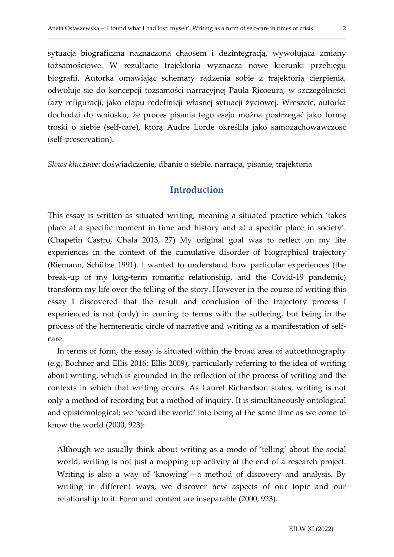sytuacja biograficzna naznaczona chaosem i dezintegracją, wywołująca zmiany tożsamościowe. W rezultacie trajektoria wyznacza nowe kierunki przebiegu biografii. Autorka omawiając schematy radzenia sobie z trajektorią cierpienia, odwołuje się do koncepcji tożsamości narracyjnej Paula Ricoeura, w szczególności fazy refiguracji, jako etapu redefinicji własnej sytuacji życiowej. Wreszcie, autorka dochodzi do wniosku, że proces pisania tego eseju można postrzegać jako formę troski o siebie (self-care), którą Audre Lorde określiła jako samozachowawczość (self-preservation).

Słowa kluczowe: doświadczenie, dbanie o siebie, narracja, pisanie, trajektoria

## Introduction

This essay is written as situated writing, meaning a situated practice which 'takes place at a specific moment in time and history and at a specific place in society'. (Chapetin Castro, Chala 2013, 27) My original goal was to reflect on my life experiences in the context of the cumulative disorder of biographical trajectory (Riemann, Schütze 1991). I wanted to understand how particular experiences (the break-up of my long-term romantic relationship, and the Covid-19 pandemic) transform my life over the telling of the story. However in the course of writing this essay I discovered that the result and conclusion of the trajectory process I experienced is not (only) in coming to terms with the suffering, but being in the process of the hermeneutic circle of narrative and writing as a manifestation of selfcare.

In terms of form, the essay is situated within the broad area of autoethnography (e.g. Bochner and Ellis 2016; Ellis 2009), particularly referring to the idea of writing about writing, which is grounded in the reflection of the process of writing and the contexts in which that writing occurs. As Laurel Richardson states, writing is not only a method of recording but a method of inquiry. It is simultaneously ontological and epistemological; we 'word the world' into being at the same time as we come to know the world (2000, 923):

Although we usually think about writing as a mode of 'telling' about the social world, writing is not just a mopping up activity at the end of a research project. Writing is also a way of 'knowing'—a method of discovery and analysis. By writing in different ways, we discover new aspects of our topic and our relationship to it. Form and content are inseparable (2000, 923).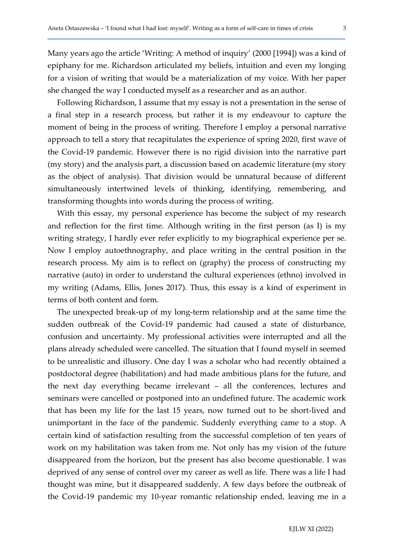Many years ago the article 'Writing: A method of inquiry' (2000 [1994]) was a kind of epiphany for me. Richardson articulated my beliefs, intuition and even my longing for a vision of writing that would be a materialization of my voice. With her paper she changed the way I conducted myself as a researcher and as an author.

Following Richardson, I assume that my essay is not a presentation in the sense of a final step in a research process, but rather it is my endeavour to capture the moment of being in the process of writing. Therefore I employ a personal narrative approach to tell a story that recapitulates the experience of spring 2020, first wave of the Covid-19 pandemic. However there is no rigid division into the narrative part (my story) and the analysis part, a discussion based on academic literature (my story as the object of analysis). That division would be unnatural because of different simultaneously intertwined levels of thinking, identifying, remembering, and transforming thoughts into words during the process of writing.

With this essay, my personal experience has become the subject of my research and reflection for the first time. Although writing in the first person (as I) is my writing strategy, I hardly ever refer explicitly to my biographical experience per se. Now I employ autoethnography, and place writing in the central position in the research process. My aim is to reflect on (graphy) the process of constructing my narrative (auto) in order to understand the cultural experiences (ethno) involved in my writing (Adams, Ellis, Jones 2017). Thus, this essay is a kind of experiment in terms of both content and form.

The unexpected break-up of my long-term relationship and at the same time the sudden outbreak of the Covid-19 pandemic had caused a state of disturbance, confusion and uncertainty. My professional activities were interrupted and all the plans already scheduled were cancelled. The situation that I found myself in seemed to be unrealistic and illusory. One day I was a scholar who had recently obtained a postdoctoral degree (habilitation) and had made ambitious plans for the future, and the next day everything became irrelevant – all the conferences, lectures and seminars were cancelled or postponed into an undefined future. The academic work that has been my life for the last 15 years, now turned out to be short-lived and unimportant in the face of the pandemic. Suddenly everything came to a stop. A certain kind of satisfaction resulting from the successful completion of ten years of work on my habilitation was taken from me. Not only has my vision of the future disappeared from the horizon, but the present has also become questionable. I was deprived of any sense of control over my career as well as life. There was a life I had thought was mine, but it disappeared suddenly. A few days before the outbreak of the Covid-19 pandemic my 10-year romantic relationship ended, leaving me in a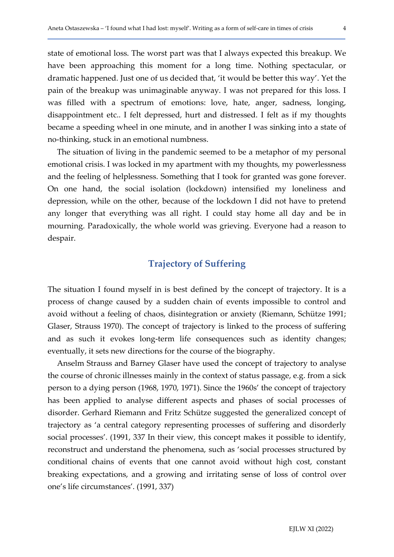state of emotional loss. The worst part was that I always expected this breakup. We have been approaching this moment for a long time. Nothing spectacular, or dramatic happened. Just one of us decided that, 'it would be better this way'. Yet the pain of the breakup was unimaginable anyway. I was not prepared for this loss. I was filled with a spectrum of emotions: love, hate, anger, sadness, longing, disappointment etc.. I felt depressed, hurt and distressed. I felt as if my thoughts became a speeding wheel in one minute, and in another I was sinking into a state of no-thinking, stuck in an emotional numbness.

The situation of living in the pandemic seemed to be a metaphor of my personal emotional crisis. I was locked in my apartment with my thoughts, my powerlessness and the feeling of helplessness. Something that I took for granted was gone forever. On one hand, the social isolation (lockdown) intensified my loneliness and depression, while on the other, because of the lockdown I did not have to pretend any longer that everything was all right. I could stay home all day and be in mourning. Paradoxically, the whole world was grieving. Everyone had a reason to despair.

## Trajectory of Suffering

The situation I found myself in is best defined by the concept of trajectory. It is a process of change caused by a sudden chain of events impossible to control and avoid without a feeling of chaos, disintegration or anxiety (Riemann, Schütze 1991; Glaser, Strauss 1970). The concept of trajectory is linked to the process of suffering and as such it evokes long-term life consequences such as identity changes; eventually, it sets new directions for the course of the biography.

Anselm Strauss and Barney Glaser have used the concept of trajectory to analyse the course of chronic illnesses mainly in the context of status passage, e.g. from a sick person to a dying person (1968, 1970, 1971). Since the 1960s' the concept of trajectory has been applied to analyse different aspects and phases of social processes of disorder. Gerhard Riemann and Fritz Schütze suggested the generalized concept of trajectory as 'a central category representing processes of suffering and disorderly social processes'. (1991, 337 In their view, this concept makes it possible to identify, reconstruct and understand the phenomena, such as 'social processes structured by conditional chains of events that one cannot avoid without high cost, constant breaking expectations, and a growing and irritating sense of loss of control over one's life circumstances'. (1991, 337)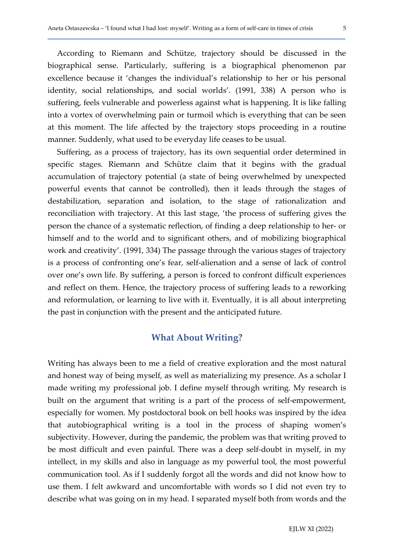According to Riemann and Schütze, trajectory should be discussed in the biographical sense. Particularly, suffering is a biographical phenomenon par excellence because it 'changes the individual's relationship to her or his personal identity, social relationships, and social worlds'. (1991, 338) A person who is suffering, feels vulnerable and powerless against what is happening. It is like falling into a vortex of overwhelming pain or turmoil which is everything that can be seen at this moment. The life affected by the trajectory stops proceeding in a routine manner. Suddenly, what used to be everyday life ceases to be usual.

Suffering, as a process of trajectory, has its own sequential order determined in specific stages. Riemann and Schütze claim that it begins with the gradual accumulation of trajectory potential (a state of being overwhelmed by unexpected powerful events that cannot be controlled), then it leads through the stages of destabilization, separation and isolation, to the stage of rationalization and reconciliation with trajectory. At this last stage, 'the process of suffering gives the person the chance of a systematic reflection, of finding a deep relationship to her- or himself and to the world and to significant others, and of mobilizing biographical work and creativity'. (1991, 334) The passage through the various stages of trajectory is a process of confronting one's fear, self-alienation and a sense of lack of control over one's own life. By suffering, a person is forced to confront difficult experiences and reflect on them. Hence, the trajectory process of suffering leads to a reworking and reformulation, or learning to live with it. Eventually, it is all about interpreting the past in conjunction with the present and the anticipated future.

#### What About Writing?

Writing has always been to me a field of creative exploration and the most natural and honest way of being myself, as well as materializing my presence. As a scholar I made writing my professional job. I define myself through writing. My research is built on the argument that writing is a part of the process of self-empowerment, especially for women. My postdoctoral book on bell hooks was inspired by the idea that autobiographical writing is a tool in the process of shaping women's subjectivity. However, during the pandemic, the problem was that writing proved to be most difficult and even painful. There was a deep self-doubt in myself, in my intellect, in my skills and also in language as my powerful tool, the most powerful communication tool. As if I suddenly forgot all the words and did not know how to use them. I felt awkward and uncomfortable with words so I did not even try to describe what was going on in my head. I separated myself both from words and the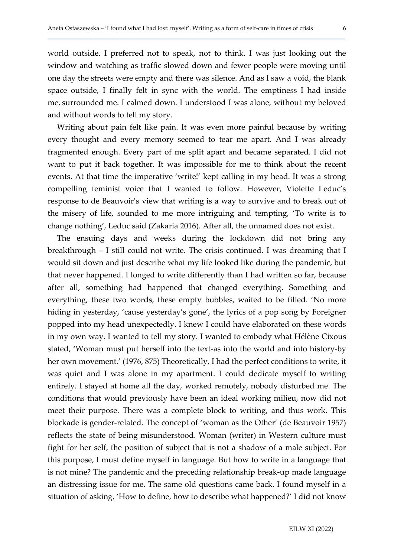world outside. I preferred not to speak, not to think. I was just looking out the window and watching as traffic slowed down and fewer people were moving until one day the streets were empty and there was silence. And as I saw a void, the blank space outside, I finally felt in sync with the world. The emptiness I had inside me, surrounded me. I calmed down. I understood I was alone, without my beloved and without words to tell my story.

Writing about pain felt like pain. It was even more painful because by writing every thought and every memory seemed to tear me apart. And I was already fragmented enough. Every part of me split apart and became separated. I did not want to put it back together. It was impossible for me to think about the recent events. At that time the imperative 'write!' kept calling in my head. It was a strong compelling feminist voice that I wanted to follow. However, Violette Leduc's response to de Beauvoir's view that writing is a way to survive and to break out of the misery of life, sounded to me more intriguing and tempting, 'To write is to change nothing', Leduc said (Zakaria 2016). After all, the unnamed does not exist.

The ensuing days and weeks during the lockdown did not bring any breakthrough – I still could not write. The crisis continued. I was dreaming that I would sit down and just describe what my life looked like during the pandemic, but that never happened. I longed to write differently than I had written so far, because after all, something had happened that changed everything. Something and everything, these two words, these empty bubbles, waited to be filled. 'No more hiding in yesterday, 'cause yesterday's gone', the lyrics of a pop song by Foreigner popped into my head unexpectedly. I knew I could have elaborated on these words in my own way. I wanted to tell my story. I wanted to embody what Hélène Cixous stated, 'Woman must put herself into the text-as into the world and into history-by her own movement.' (1976, 875) Theoretically, I had the perfect conditions to write, it was quiet and I was alone in my apartment. I could dedicate myself to writing entirely. I stayed at home all the day, worked remotely, nobody disturbed me. The conditions that would previously have been an ideal working milieu, now did not meet their purpose. There was a complete block to writing, and thus work. This blockade is gender-related. The concept of 'woman as the Other' (de Beauvoir 1957) reflects the state of being misunderstood. Woman (writer) in Western culture must fight for her self, the position of subject that is not a shadow of a male subject. For this purpose, I must define myself in language. But how to write in a language that is not mine? The pandemic and the preceding relationship break-up made language an distressing issue for me. The same old questions came back. I found myself in a situation of asking, 'How to define, how to describe what happened?' I did not know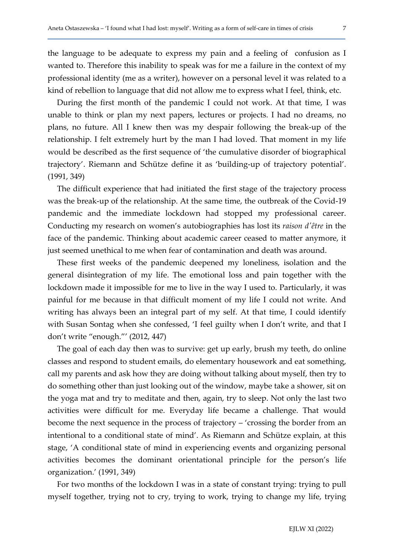the language to be adequate to express my pain and a feeling of confusion as I wanted to. Therefore this inability to speak was for me a failure in the context of my professional identity (me as a writer), however on a personal level it was related to a kind of rebellion to language that did not allow me to express what I feel, think, etc.

During the first month of the pandemic I could not work. At that time, I was unable to think or plan my next papers, lectures or projects. I had no dreams, no plans, no future. All I knew then was my despair following the break-up of the relationship. I felt extremely hurt by the man I had loved. That moment in my life would be described as the first sequence of 'the cumulative disorder of biographical trajectory'. Riemann and Schütze define it as 'building-up of trajectory potential'. (1991, 349)

The difficult experience that had initiated the first stage of the trajectory process was the break-up of the relationship. At the same time, the outbreak of the Covid-19 pandemic and the immediate lockdown had stopped my professional career. Conducting my research on women's autobiographies has lost its raison d'être in the face of the pandemic. Thinking about academic career ceased to matter anymore, it just seemed unethical to me when fear of contamination and death was around.

These first weeks of the pandemic deepened my loneliness, isolation and the general disintegration of my life. The emotional loss and pain together with the lockdown made it impossible for me to live in the way I used to. Particularly, it was painful for me because in that difficult moment of my life I could not write. And writing has always been an integral part of my self. At that time, I could identify with Susan Sontag when she confessed, 'I feel guilty when I don't write, and that I don't write "enough."' (2012, 447)

The goal of each day then was to survive: get up early, brush my teeth, do online classes and respond to student emails, do elementary housework and eat something, call my parents and ask how they are doing without talking about myself, then try to do something other than just looking out of the window, maybe take a shower, sit on the yoga mat and try to meditate and then, again, try to sleep. Not only the last two activities were difficult for me. Everyday life became a challenge. That would become the next sequence in the process of trajectory – 'crossing the border from an intentional to a conditional state of mind'. As Riemann and Schütze explain, at this stage, 'A conditional state of mind in experiencing events and organizing personal activities becomes the dominant orientational principle for the person's life organization.' (1991, 349)

For two months of the lockdown I was in a state of constant trying: trying to pull myself together, trying not to cry, trying to work, trying to change my life, trying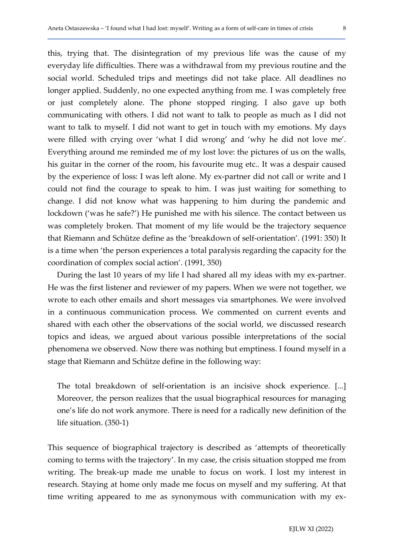this, trying that. The disintegration of my previous life was the cause of my everyday life difficulties. There was a withdrawal from my previous routine and the social world. Scheduled trips and meetings did not take place. All deadlines no longer applied. Suddenly, no one expected anything from me. I was completely free or just completely alone. The phone stopped ringing. I also gave up both communicating with others. I did not want to talk to people as much as I did not want to talk to myself. I did not want to get in touch with my emotions. My days were filled with crying over 'what I did wrong' and 'why he did not love me'. Everything around me reminded me of my lost love: the pictures of us on the walls, his guitar in the corner of the room, his favourite mug etc.. It was a despair caused by the experience of loss: I was left alone. My ex-partner did not call or write and I could not find the courage to speak to him. I was just waiting for something to change. I did not know what was happening to him during the pandemic and lockdown ('was he safe?') He punished me with his silence. The contact between us was completely broken. That moment of my life would be the trajectory sequence that Riemann and Schütze define as the 'breakdown of self-orientation'. (1991: 350) It is a time when 'the person experiences a total paralysis regarding the capacity for the coordination of complex social action'. (1991, 350)

During the last 10 years of my life I had shared all my ideas with my ex-partner. He was the first listener and reviewer of my papers. When we were not together, we wrote to each other emails and short messages via smartphones. We were involved in a continuous communication process. We commented on current events and shared with each other the observations of the social world, we discussed research topics and ideas, we argued about various possible interpretations of the social phenomena we observed. Now there was nothing but emptiness. I found myself in a stage that Riemann and Schütze define in the following way:

The total breakdown of self-orientation is an incisive shock experience. [...] Moreover, the person realizes that the usual biographical resources for managing one's life do not work anymore. There is need for a radically new definition of the life situation. (350-1)

This sequence of biographical trajectory is described as 'attempts of theoretically coming to terms with the trajectory'. In my case, the crisis situation stopped me from writing. The break-up made me unable to focus on work. I lost my interest in research. Staying at home only made me focus on myself and my suffering. At that time writing appeared to me as synonymous with communication with my ex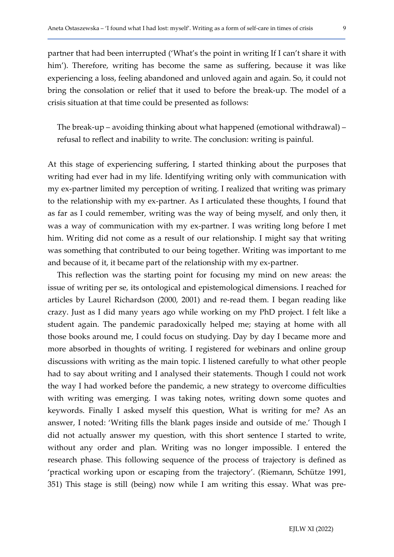partner that had been interrupted ('What's the point in writing If I can't share it with him'). Therefore, writing has become the same as suffering, because it was like experiencing a loss, feeling abandoned and unloved again and again. So, it could not bring the consolation or relief that it used to before the break-up. The model of a crisis situation at that time could be presented as follows:

The break-up – avoiding thinking about what happened (emotional withdrawal) – refusal to reflect and inability to write. The conclusion: writing is painful.

At this stage of experiencing suffering, I started thinking about the purposes that writing had ever had in my life. Identifying writing only with communication with my ex-partner limited my perception of writing. I realized that writing was primary to the relationship with my ex-partner. As I articulated these thoughts, I found that as far as I could remember, writing was the way of being myself, and only then, it was a way of communication with my ex-partner. I was writing long before I met him. Writing did not come as a result of our relationship. I might say that writing was something that contributed to our being together. Writing was important to me and because of it, it became part of the relationship with my ex-partner.

This reflection was the starting point for focusing my mind on new areas: the issue of writing per se, its ontological and epistemological dimensions. I reached for articles by Laurel Richardson (2000, 2001) and re-read them. I began reading like crazy. Just as I did many years ago while working on my PhD project. I felt like a student again. The pandemic paradoxically helped me; staying at home with all those books around me, I could focus on studying. Day by day I became more and more absorbed in thoughts of writing. I registered for webinars and online group discussions with writing as the main topic. I listened carefully to what other people had to say about writing and I analysed their statements. Though I could not work the way I had worked before the pandemic, a new strategy to overcome difficulties with writing was emerging. I was taking notes, writing down some quotes and keywords. Finally I asked myself this question, What is writing for me? As an answer, I noted: 'Writing fills the blank pages inside and outside of me.' Though I did not actually answer my question, with this short sentence I started to write, without any order and plan. Writing was no longer impossible. I entered the research phase. This following sequence of the process of trajectory is defined as 'practical working upon or escaping from the trajectory'. (Riemann, Schütze 1991, 351) This stage is still (being) now while I am writing this essay. What was pre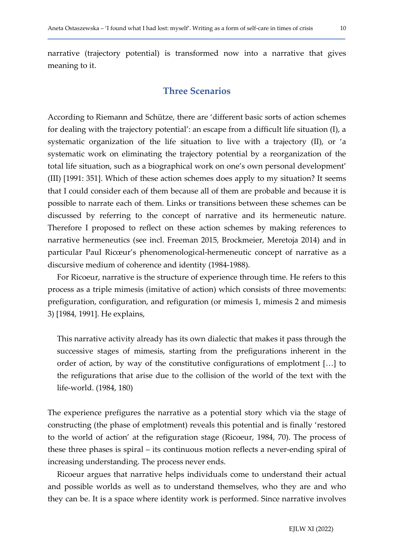narrative (trajectory potential) is transformed now into a narrative that gives meaning to it.

#### Three Scenarios

According to Riemann and Schütze, there are 'different basic sorts of action schemes for dealing with the trajectory potential': an escape from a difficult life situation (I), a systematic organization of the life situation to live with a trajectory (II), or 'a systematic work on eliminating the trajectory potential by a reorganization of the total life situation, such as a biographical work on one's own personal development' (III) [1991: 351]. Which of these action schemes does apply to my situation? It seems that I could consider each of them because all of them are probable and because it is possible to narrate each of them. Links or transitions between these schemes can be discussed by referring to the concept of narrative and its hermeneutic nature. Therefore I proposed to reflect on these action schemes by making references to narrative hermeneutics (see incl. Freeman 2015, Brockmeier, Meretoja 2014) and in particular Paul Ricœur's phenomenological-hermeneutic concept of narrative as a discursive medium of coherence and identity (1984-1988).

For Ricoeur, narrative is the structure of experience through time. He refers to this process as a triple mimesis (imitative of action) which consists of three movements: prefiguration, configuration, and refiguration (or mimesis 1, mimesis 2 and mimesis 3) [1984, 1991]. He explains,

This narrative activity already has its own dialectic that makes it pass through the successive stages of mimesis, starting from the prefigurations inherent in the order of action, by way of the constitutive configurations of emplotment […] to the refigurations that arise due to the collision of the world of the text with the life-world. (1984, 180)

The experience prefigures the narrative as a potential story which via the stage of constructing (the phase of emplotment) reveals this potential and is finally 'restored to the world of action' at the refiguration stage (Ricoeur, 1984, 70). The process of these three phases is spiral – its continuous motion reflects a never-ending spiral of increasing understanding. The process never ends.

Ricoeur argues that narrative helps individuals come to understand their actual and possible worlds as well as to understand themselves, who they are and who they can be. It is a space where identity work is performed. Since narrative involves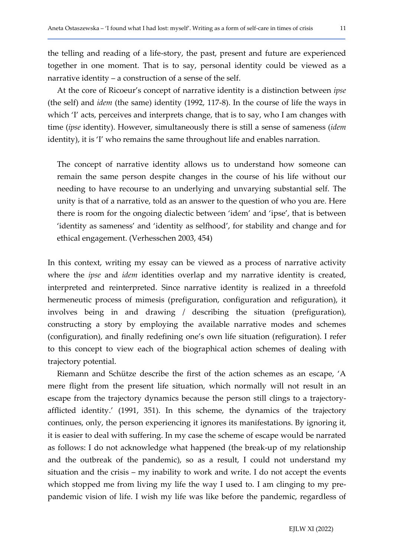the telling and reading of a life-story, the past, present and future are experienced together in one moment. That is to say, personal identity could be viewed as a narrative identity – a construction of a sense of the self.

At the core of Ricoeur's concept of narrative identity is a distinction between ipse (the self) and idem (the same) identity (1992, 117-8). In the course of life the ways in which 'I' acts, perceives and interprets change, that is to say, who I am changes with time (ipse identity). However, simultaneously there is still a sense of sameness (idem identity), it is 'I' who remains the same throughout life and enables narration.

The concept of narrative identity allows us to understand how someone can remain the same person despite changes in the course of his life without our needing to have recourse to an underlying and unvarying substantial self. The unity is that of a narrative, told as an answer to the question of who you are. Here there is room for the ongoing dialectic between 'idem' and 'ipse', that is between 'identity as sameness' and 'identity as selfhood', for stability and change and for ethical engagement. (Verhesschen 2003, 454)

In this context, writing my essay can be viewed as a process of narrative activity where the *ipse* and *idem* identities overlap and my narrative identity is created, interpreted and reinterpreted. Since narrative identity is realized in a threefold hermeneutic process of mimesis (prefiguration, configuration and refiguration), it involves being in and drawing / describing the situation (prefiguration), constructing a story by employing the available narrative modes and schemes (configuration), and finally redefining one's own life situation (refiguration). I refer to this concept to view each of the biographical action schemes of dealing with trajectory potential.

Riemann and Schütze describe the first of the action schemes as an escape, 'A mere flight from the present life situation, which normally will not result in an escape from the trajectory dynamics because the person still clings to a trajectoryafflicted identity.' (1991, 351). In this scheme, the dynamics of the trajectory continues, only, the person experiencing it ignores its manifestations. By ignoring it, it is easier to deal with suffering. In my case the scheme of escape would be narrated as follows: I do not acknowledge what happened (the break-up of my relationship and the outbreak of the pandemic), so as a result, I could not understand my situation and the crisis – my inability to work and write. I do not accept the events which stopped me from living my life the way I used to. I am clinging to my prepandemic vision of life. I wish my life was like before the pandemic, regardless of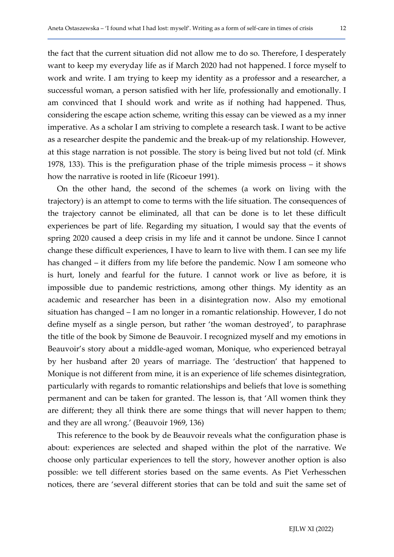the fact that the current situation did not allow me to do so. Therefore, I desperately want to keep my everyday life as if March 2020 had not happened. I force myself to work and write. I am trying to keep my identity as a professor and a researcher, a successful woman, a person satisfied with her life, professionally and emotionally. I am convinced that I should work and write as if nothing had happened. Thus, considering the escape action scheme, writing this essay can be viewed as a my inner imperative. As a scholar I am striving to complete a research task. I want to be active as a researcher despite the pandemic and the break-up of my relationship. However, at this stage narration is not possible. The story is being lived but not told (cf. Mink 1978, 133). This is the prefiguration phase of the triple mimesis process – it shows how the narrative is rooted in life (Ricoeur 1991).

On the other hand, the second of the schemes (a work on living with the trajectory) is an attempt to come to terms with the life situation. The consequences of the trajectory cannot be eliminated, all that can be done is to let these difficult experiences be part of life. Regarding my situation, I would say that the events of spring 2020 caused a deep crisis in my life and it cannot be undone. Since I cannot change these difficult experiences, I have to learn to live with them. I can see my life has changed – it differs from my life before the pandemic. Now I am someone who is hurt, lonely and fearful for the future. I cannot work or live as before, it is impossible due to pandemic restrictions, among other things. My identity as an academic and researcher has been in a disintegration now. Also my emotional situation has changed – I am no longer in a romantic relationship. However, I do not define myself as a single person, but rather 'the woman destroyed', to paraphrase the title of the book by Simone de Beauvoir. I recognized myself and my emotions in Beauvoir's story about a middle-aged woman, Monique, who experienced betrayal by her husband after 20 years of marriage. The 'destruction' that happened to Monique is not different from mine, it is an experience of life schemes disintegration, particularly with regards to romantic relationships and beliefs that love is something permanent and can be taken for granted. The lesson is, that 'All women think they are different; they all think there are some things that will never happen to them; and they are all wrong.' (Beauvoir 1969, 136)

This reference to the book by de Beauvoir reveals what the configuration phase is about: experiences are selected and shaped within the plot of the narrative. We choose only particular experiences to tell the story, however another option is also possible: we tell different stories based on the same events. As Piet Verhesschen notices, there are 'several different stories that can be told and suit the same set of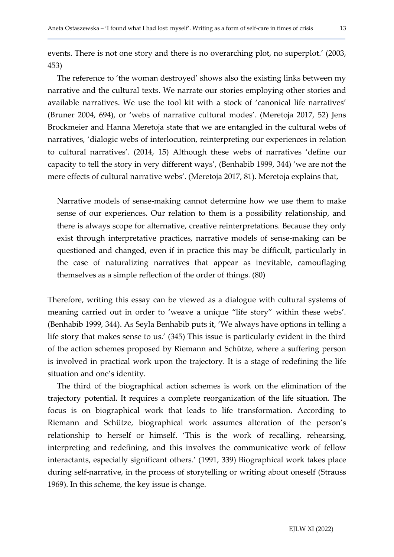events. There is not one story and there is no overarching plot, no superplot.' (2003, 453)

The reference to 'the woman destroyed' shows also the existing links between my narrative and the cultural texts. We narrate our stories employing other stories and available narratives. We use the tool kit with a stock of 'canonical life narratives' (Bruner 2004, 694), or 'webs of narrative cultural modes'. (Meretoja 2017, 52) Jens Brockmeier and Hanna Meretoja state that we are entangled in the cultural webs of narratives, 'dialogic webs of interlocution, reinterpreting our experiences in relation to cultural narratives'. (2014, 15) Although these webs of narratives 'define our capacity to tell the story in very different ways', (Benhabib 1999, 344) 'we are not the mere effects of cultural narrative webs'. (Meretoja 2017, 81). Meretoja explains that,

Narrative models of sense-making cannot determine how we use them to make sense of our experiences. Our relation to them is a possibility relationship, and there is always scope for alternative, creative reinterpretations. Because they only exist through interpretative practices, narrative models of sense-making can be questioned and changed, even if in practice this may be difficult, particularly in the case of naturalizing narratives that appear as inevitable, camouflaging themselves as a simple reflection of the order of things. (80)

Therefore, writing this essay can be viewed as a dialogue with cultural systems of meaning carried out in order to 'weave a unique "life story" within these webs'. (Benhabib 1999, 344). As Seyla Benhabib puts it, 'We always have options in telling a life story that makes sense to us.' (345) This issue is particularly evident in the third of the action schemes proposed by Riemann and Schütze, where a suffering person is involved in practical work upon the trajectory. It is a stage of redefining the life situation and one's identity.

The third of the biographical action schemes is work on the elimination of the trajectory potential. It requires a complete reorganization of the life situation. The focus is on biographical work that leads to life transformation. According to Riemann and Schütze, biographical work assumes alteration of the person's relationship to herself or himself. 'This is the work of recalling, rehearsing, interpreting and redefining, and this involves the communicative work of fellow interactants, especially significant others.' (1991, 339) Biographical work takes place during self-narrative, in the process of storytelling or writing about oneself (Strauss 1969). In this scheme, the key issue is change.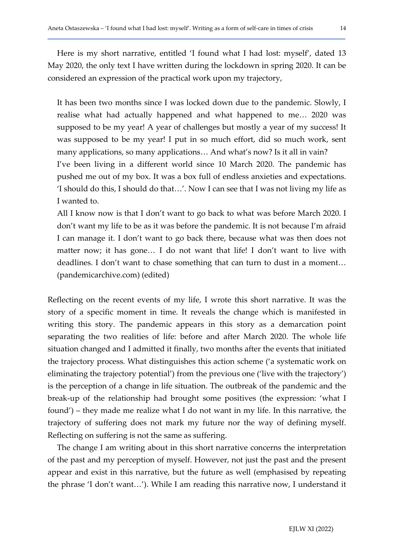Here is my short narrative, entitled 'I found what I had lost: myself', dated 13 May 2020, the only text I have written during the lockdown in spring 2020. It can be considered an expression of the practical work upon my trajectory,

It has been two months since I was locked down due to the pandemic. Slowly, I realise what had actually happened and what happened to me… 2020 was supposed to be my year! A year of challenges but mostly a year of my success! It was supposed to be my year! I put in so much effort, did so much work, sent many applications, so many applications… And what's now? Is it all in vain? I've been living in a different world since 10 March 2020. The pandemic has pushed me out of my box. It was a box full of endless anxieties and expectations. 'I should do this, I should do that…'. Now I can see that I was not living my life as I wanted to.

All I know now is that I don't want to go back to what was before March 2020. I don't want my life to be as it was before the pandemic. It is not because I'm afraid I can manage it. I don't want to go back there, because what was then does not matter now; it has gone... I do not want that life! I don't want to live with deadlines. I don't want to chase something that can turn to dust in a moment… (pandemicarchive.com) (edited)

Reflecting on the recent events of my life, I wrote this short narrative. It was the story of a specific moment in time. It reveals the change which is manifested in writing this story. The pandemic appears in this story as a demarcation point separating the two realities of life: before and after March 2020. The whole life situation changed and I admitted it finally, two months after the events that initiated the trajectory process. What distinguishes this action scheme ('a systematic work on eliminating the trajectory potential') from the previous one ('live with the trajectory') is the perception of a change in life situation. The outbreak of the pandemic and the break-up of the relationship had brought some positives (the expression: 'what I found') – they made me realize what I do not want in my life. In this narrative, the trajectory of suffering does not mark my future nor the way of defining myself. Reflecting on suffering is not the same as suffering.

The change I am writing about in this short narrative concerns the interpretation of the past and my perception of myself. However, not just the past and the present appear and exist in this narrative, but the future as well (emphasised by repeating the phrase 'I don't want…'). While I am reading this narrative now, I understand it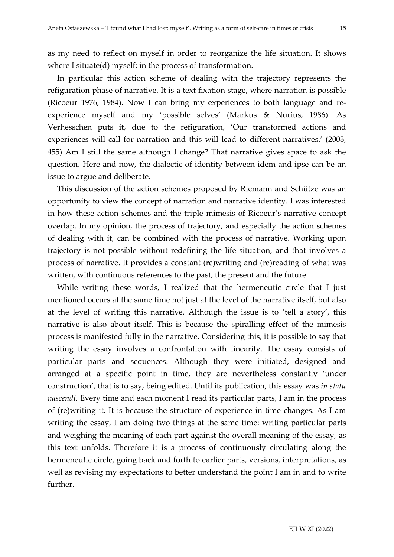as my need to reflect on myself in order to reorganize the life situation. It shows where I situate(d) myself: in the process of transformation.

In particular this action scheme of dealing with the trajectory represents the refiguration phase of narrative. It is a text fixation stage, where narration is possible (Ricoeur 1976, 1984). Now I can bring my experiences to both language and reexperience myself and my 'possible selves' (Markus & Nurius, 1986). As Verhesschen puts it, due to the refiguration, 'Our transformed actions and experiences will call for narration and this will lead to different narratives.' (2003, 455) Am I still the same although I change? That narrative gives space to ask the question. Here and now, the dialectic of identity between idem and ipse can be an issue to argue and deliberate.

This discussion of the action schemes proposed by Riemann and Schütze was an opportunity to view the concept of narration and narrative identity. I was interested in how these action schemes and the triple mimesis of Ricoeur's narrative concept overlap. In my opinion, the process of trajectory, and especially the action schemes of dealing with it, can be combined with the process of narrative. Working upon trajectory is not possible without redefining the life situation, and that involves a process of narrative. It provides a constant (re)writing and (re)reading of what was written, with continuous references to the past, the present and the future.

While writing these words, I realized that the hermeneutic circle that I just mentioned occurs at the same time not just at the level of the narrative itself, but also at the level of writing this narrative. Although the issue is to 'tell a story', this narrative is also about itself. This is because the spiralling effect of the mimesis process is manifested fully in the narrative. Considering this, it is possible to say that writing the essay involves a confrontation with linearity. The essay consists of particular parts and sequences. Although they were initiated, designed and arranged at a specific point in time, they are nevertheless constantly 'under construction', that is to say, being edited. Until its publication, this essay was in statu nascendi. Every time and each moment I read its particular parts, I am in the process of (re)writing it. It is because the structure of experience in time changes. As I am writing the essay, I am doing two things at the same time: writing particular parts and weighing the meaning of each part against the overall meaning of the essay, as this text unfolds. Therefore it is a process of continuously circulating along the hermeneutic circle, going back and forth to earlier parts, versions, interpretations, as well as revising my expectations to better understand the point I am in and to write further.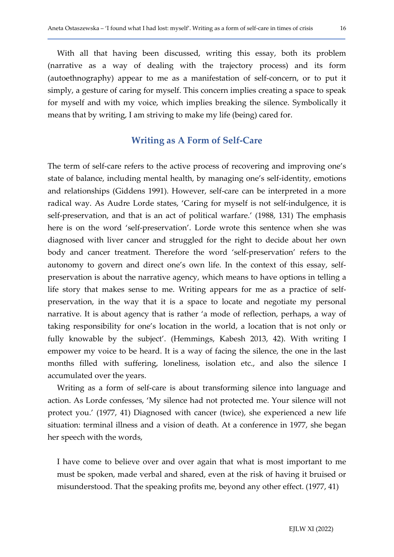With all that having been discussed, writing this essay, both its problem (narrative as a way of dealing with the trajectory process) and its form (autoethnography) appear to me as a manifestation of self-concern, or to put it simply, a gesture of caring for myself. This concern implies creating a space to speak for myself and with my voice, which implies breaking the silence. Symbolically it means that by writing, I am striving to make my life (being) cared for.

#### Writing as A Form of Self-Care

The term of self-care refers to the active process of recovering and improving one's state of balance, including mental health, by managing one's self-identity, emotions and relationships (Giddens 1991). However, self-care can be interpreted in a more radical way. As Audre Lorde states, 'Caring for myself is not self-indulgence, it is self-preservation, and that is an act of political warfare.' (1988, 131) The emphasis here is on the word 'self-preservation'. Lorde wrote this sentence when she was diagnosed with liver cancer and struggled for the right to decide about her own body and cancer treatment. Therefore the word 'self-preservation' refers to the autonomy to govern and direct one's own life. In the context of this essay, selfpreservation is about the narrative agency, which means to have options in telling a life story that makes sense to me. Writing appears for me as a practice of selfpreservation, in the way that it is a space to locate and negotiate my personal narrative. It is about agency that is rather 'a mode of reflection, perhaps, a way of taking responsibility for one's location in the world, a location that is not only or fully knowable by the subject'. (Hemmings, Kabesh 2013, 42). With writing I empower my voice to be heard. It is a way of facing the silence, the one in the last months filled with suffering, loneliness, isolation etc., and also the silence I accumulated over the years.

Writing as a form of self-care is about transforming silence into language and action. As Lorde confesses, 'My silence had not protected me. Your silence will not protect you.' (1977, 41) Diagnosed with cancer (twice), she experienced a new life situation: terminal illness and a vision of death. At a conference in 1977, she began her speech with the words,

I have come to believe over and over again that what is most important to me must be spoken, made verbal and shared, even at the risk of having it bruised or misunderstood. That the speaking profits me, beyond any other effect. (1977, 41)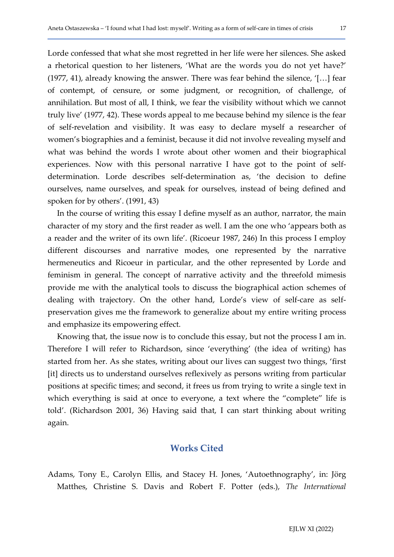Lorde confessed that what she most regretted in her life were her silences. She asked a rhetorical question to her listeners, 'What are the words you do not yet have?' (1977, 41), already knowing the answer. There was fear behind the silence, '[…] fear of contempt, of censure, or some judgment, or recognition, of challenge, of annihilation. But most of all, I think, we fear the visibility without which we cannot truly live' (1977, 42). These words appeal to me because behind my silence is the fear of self-revelation and visibility. It was easy to declare myself a researcher of women's biographies and a feminist, because it did not involve revealing myself and what was behind the words I wrote about other women and their biographical experiences. Now with this personal narrative I have got to the point of selfdetermination. Lorde describes self-determination as, 'the decision to define ourselves, name ourselves, and speak for ourselves, instead of being defined and spoken for by others'. (1991, 43)

In the course of writing this essay I define myself as an author, narrator, the main character of my story and the first reader as well. I am the one who 'appears both as a reader and the writer of its own life'. (Ricoeur 1987, 246) In this process I employ different discourses and narrative modes, one represented by the narrative hermeneutics and Ricoeur in particular, and the other represented by Lorde and feminism in general. The concept of narrative activity and the threefold mimesis provide me with the analytical tools to discuss the biographical action schemes of dealing with trajectory. On the other hand, Lorde's view of self-care as selfpreservation gives me the framework to generalize about my entire writing process and emphasize its empowering effect.

Knowing that, the issue now is to conclude this essay, but not the process I am in. Therefore I will refer to Richardson, since 'everything' (the idea of writing) has started from her. As she states, writing about our lives can suggest two things, 'first [it] directs us to understand ourselves reflexively as persons writing from particular positions at specific times; and second, it frees us from trying to write a single text in which everything is said at once to everyone, a text where the "complete" life is told'. (Richardson 2001, 36) Having said that, I can start thinking about writing again.

#### Works Cited

Adams, Tony E., Carolyn Ellis, and Stacey H. Jones, 'Autoethnography', in: Jörg Matthes, Christine S. Davis and Robert F. Potter (eds.), The International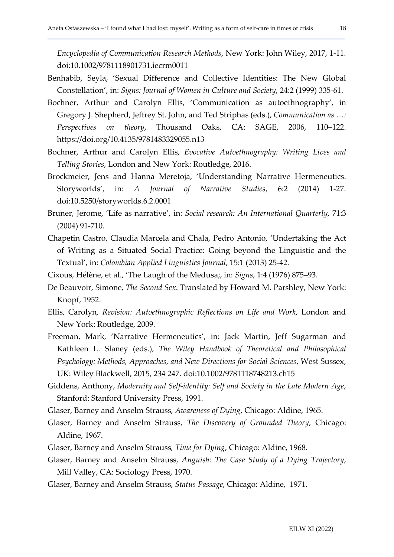Encyclopedia of Communication Research Methods, New York: John Wiley, 2017, 1-11. doi:10.1002/9781118901731.iecrm0011

- Benhabib, Seyla, 'Sexual Difference and Collective Identities: The New Global Constellation', in: Signs: Journal of Women in Culture and Society, 24:2 (1999) 335-61.
- Bochner, Arthur and Carolyn Ellis, 'Communication as autoethnography', in Gregory J. Shepherd, Jeffrey St. John, and Ted Striphas (eds.), Communication as …: Perspectives on theory, Thousand Oaks, CA: SAGE, 2006, 110–122. https://doi.org/10.4135/9781483329055.n13
- Bochner, Arthur and Carolyn Ellis, Evocative Autoethnography: Writing Lives and Telling Stories, London and New York: Routledge, 2016.
- Brockmeier, Jens and Hanna Meretoja, 'Understanding Narrative Hermeneutics. Storyworlds', in: A Journal of Narrative Studies, 6:2 (2014) 1-27. doi:10.5250/storyworlds.6.2.0001
- Bruner, Jerome, 'Life as narrative', in: Social research: An International Quarterly, 71:3 (2004) 91-710.
- Chapetin Castro, Claudia Marcela and Chala, Pedro Antonio, 'Undertaking the Act of Writing as a Situated Social Practice: Going beyond the Linguistic and the Textual', in: Colombian Applied Linguistics Journal, 15:1 (2013) 25-42.
- Cixous, Hélène, et al., 'The Laugh of the Medusa;, in: Signs, 1:4 (1976) 875–93.
- De Beauvoir, Simone, The Second Sex. Translated by Howard M. Parshley, New York: Knopf, 1952.
- Ellis, Carolyn, Revision: Autoethnographic Reflections on Life and Work, London and New York: Routledge, 2009.
- Freeman, Mark, 'Narrative Hermeneutics', in: Jack Martin, Jeff Sugarman and Kathleen L. Slaney (eds.), The Wiley Handbook of Theoretical and Philosophical Psychology: Methods, Approaches, and New Directions for Social Sciences, West Sussex, UK: Wiley Blackwell, 2015, 234 247. doi:10.1002/9781118748213.ch15
- Giddens, Anthony, Modernity and Self-identity: Self and Society in the Late Modern Age, Stanford: Stanford University Press, 1991.
- Glaser, Barney and Anselm Strauss, Awareness of Dying, Chicago: Aldine, 1965.
- Glaser, Barney and Anselm Strauss, The Discovery of Grounded Theory, Chicago: Aldine, 1967.
- Glaser, Barney and Anselm Strauss, Time for Dying, Chicago: Aldine, 1968.
- Glaser, Barney and Anselm Strauss, Anguish: The Case Study of a Dying Trajectory, Mill Valley, CA: Sociology Press, 1970.
- Glaser, Barney and Anselm Strauss, Status Passage, Chicago: Aldine, 1971.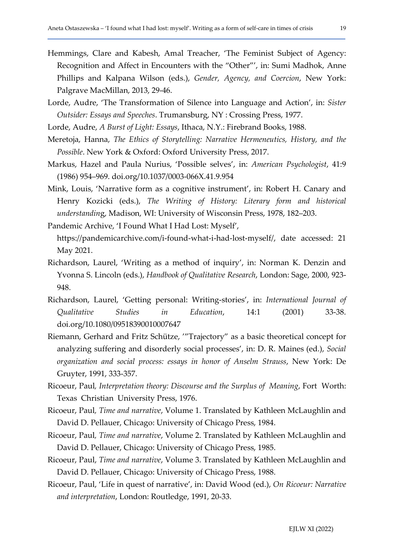- Hemmings, Clare and Kabesh, Amal Treacher, 'The Feminist Subject of Agency: Recognition and Affect in Encounters with the "Other"', in: Sumi Madhok, Anne Phillips and Kalpana Wilson (eds.), Gender, Agency, and Coercion, New York: Palgrave MacMillan, 2013, 29-46.
- Lorde, Audre, 'The Transformation of Silence into Language and Action', in: Sister Outsider: Essays and Speeches. Trumansburg, NY : Crossing Press, 1977.
- Lorde, Audre, A Burst of Light: Essays, Ithaca, N.Y.: Firebrand Books, 1988.
- Meretoja, Hanna, The Ethics of Storytelling: Narrative Hermeneutics, History, and the Possible. New York & Oxford: Oxford University Press, 2017.
- Markus, Hazel and Paula Nurius, 'Possible selves', in: American Psychologist, 41:9 (1986) 954–969. doi.org/10.1037/0003-066X.41.9.954
- Mink, Louis, 'Narrative form as a cognitive instrument', in: Robert H. Canary and Henry Kozicki (eds.), The Writing of History: Literary form and historical understanding, Madison, WI: University of Wisconsin Press, 1978, 182–203.
- Pandemic Archive, 'I Found What I Had Lost: Myself', https://pandemicarchive.com/i-found-what-i-had-lost-myself/, date accessed: 21

May 2021.

- Richardson, Laurel, 'Writing as a method of inquiry', in: Norman K. Denzin and Yvonna S. Lincoln (eds.), Handbook of Qualitative Research, London: Sage, 2000, 923- 948.
- Richardson, Laurel, 'Getting personal: Writing-stories', in: International Journal of Qualitative Studies in Education, 14:1 (2001) 33-38. doi.org/10.1080/09518390010007647
- Riemann, Gerhard and Fritz Schütze, '"Trajectory" as a basic theoretical concept for analyzing suffering and disorderly social processes', in: D. R. Maines (ed.), Social organization and social process: essays in honor of Anselm Strauss, New York: De Gruyter, 1991, 333-357.
- Ricoeur, Paul, Interpretation theory: Discourse and the Surplus of Meaning, Fort Worth: Texas Christian University Press, 1976.
- Ricoeur, Paul, Time and narrative, Volume 1. Translated by Kathleen McLaughlin and David D. Pellauer, Chicago: University of Chicago Press, 1984.
- Ricoeur, Paul, Time and narrative, Volume 2. Translated by Kathleen McLaughlin and David D. Pellauer, Chicago: University of Chicago Press, 1985.
- Ricoeur, Paul, Time and narrative, Volume 3. Translated by Kathleen McLaughlin and David D. Pellauer, Chicago: University of Chicago Press, 1988.
- Ricoeur, Paul, 'Life in quest of narrative', in: David Wood (ed.), On Ricoeur: Narrative and interpretation, London: Routledge, 1991, 20-33.